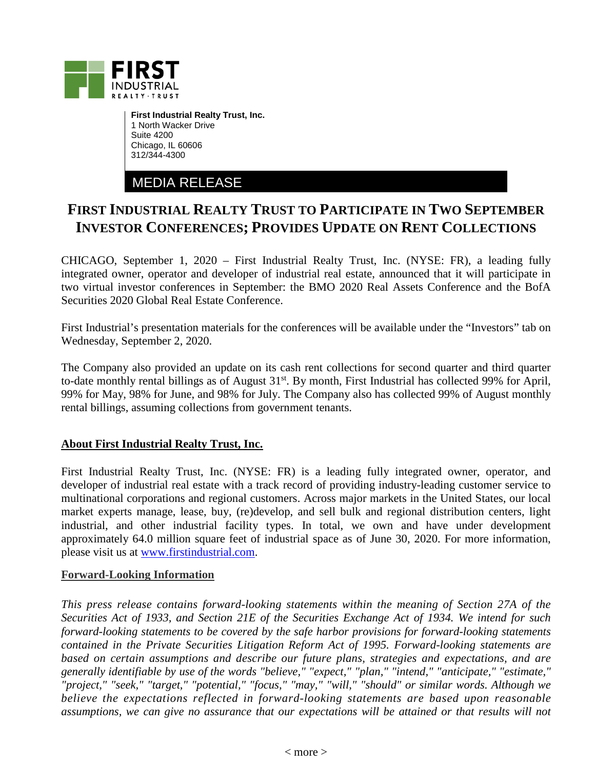

**First Industrial Realty Trust, Inc.** 1 North Wacker Drive Suite 4200 Chicago, IL 60606 312/344-4300

MEDIA RELEASE

## **FIRST INDUSTRIAL REALTY TRUST TO PARTICIPATE IN TWO SEPTEMBER INVESTOR CONFERENCES; PROVIDES UPDATE ON RENT COLLECTIONS**

CHICAGO, September 1, 2020 – First Industrial Realty Trust, Inc. (NYSE: FR), a leading fully integrated owner, operator and developer of industrial real estate, announced that it will participate in two virtual investor conferences in September: the BMO 2020 Real Assets Conference and the BofA Securities 2020 Global Real Estate Conference.

First Industrial's presentation materials for the conferences will be available under the "Investors" tab on Wednesday, September 2, 2020.

The Company also provided an update on its cash rent collections for second quarter and third quarter to-date monthly rental billings as of August  $31<sup>st</sup>$ . By month, First Industrial has collected 99% for April, 99% for May, 98% for June, and 98% for July. The Company also has collected 99% of August monthly rental billings, assuming collections from government tenants.

## **About First Industrial Realty Trust, Inc.**

First Industrial Realty Trust, Inc. (NYSE: FR) is a leading fully integrated owner, operator, and developer of industrial real estate with a track record of providing industry-leading customer service to multinational corporations and regional customers. Across major markets in the United States, our local market experts manage, lease, buy, (re)develop, and sell bulk and regional distribution centers, light industrial, and other industrial facility types. In total, we own and have under development approximately 64.0 million square feet of industrial space as of June 30, 2020. For more information, please visit us at [www.firstindustrial.com.](http://www.firstindustrial.com/)

## **Forward-Looking Information**

*This press release contains forward-looking statements within the meaning of Section 27A of the Securities Act of 1933, and Section 21E of the Securities Exchange Act of 1934. We intend for such forward-looking statements to be covered by the safe harbor provisions for forward-looking statements contained in the Private Securities Litigation Reform Act of 1995. Forward-looking statements are based on certain assumptions and describe our future plans, strategies and expectations, and are generally identifiable by use of the words "believe," "expect," "plan," "intend," "anticipate," "estimate," "project," "seek," "target," "potential," "focus," "may," "will," "should" or similar words. Although we believe the expectations reflected in forward-looking statements are based upon reasonable assumptions, we can give no assurance that our expectations will be attained or that results will not*